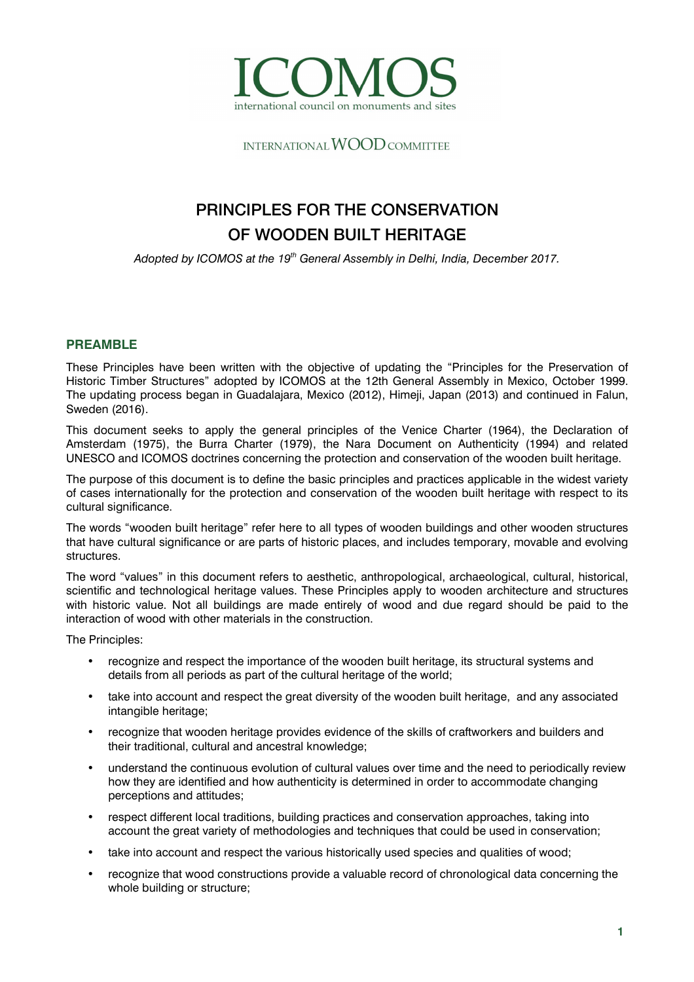

INTERNATIONAL WOOD COMMITTEE

# PRINCIPLES FOR THE CONSERVATION OF WOODEN BUILT HERITAGE

*Adopted by ICOMOS at the 19th General Assembly in Delhi, India, December 2017.* 

## **PREAMBLE**

These Principles have been written with the objective of updating the "Principles for the Preservation of Historic Timber Structures" adopted by ICOMOS at the 12th General Assembly in Mexico, October 1999. The updating process began in Guadalajara, Mexico (2012), Himeji, Japan (2013) and continued in Falun, Sweden (2016).

This document seeks to apply the general principles of the Venice Charter (1964), the Declaration of Amsterdam (1975), the Burra Charter (1979), the Nara Document on Authenticity (1994) and related UNESCO and ICOMOS doctrines concerning the protection and conservation of the wooden built heritage.

The purpose of this document is to define the basic principles and practices applicable in the widest variety of cases internationally for the protection and conservation of the wooden built heritage with respect to its cultural significance.

The words "wooden built heritage" refer here to all types of wooden buildings and other wooden structures that have cultural significance or are parts of historic places, and includes temporary, movable and evolving structures.

The word "values" in this document refers to aesthetic, anthropological, archaeological, cultural, historical, scientific and technological heritage values. These Principles apply to wooden architecture and structures with historic value. Not all buildings are made entirely of wood and due regard should be paid to the interaction of wood with other materials in the construction.

The Principles:

- recognize and respect the importance of the wooden built heritage, its structural systems and details from all periods as part of the cultural heritage of the world;
- take into account and respect the great diversity of the wooden built heritage, and any associated intangible heritage;
- recognize that wooden heritage provides evidence of the skills of craftworkers and builders and their traditional, cultural and ancestral knowledge;
- understand the continuous evolution of cultural values over time and the need to periodically review how they are identified and how authenticity is determined in order to accommodate changing perceptions and attitudes;
- respect different local traditions, building practices and conservation approaches, taking into account the great variety of methodologies and techniques that could be used in conservation;
- take into account and respect the various historically used species and qualities of wood;
- recognize that wood constructions provide a valuable record of chronological data concerning the whole building or structure: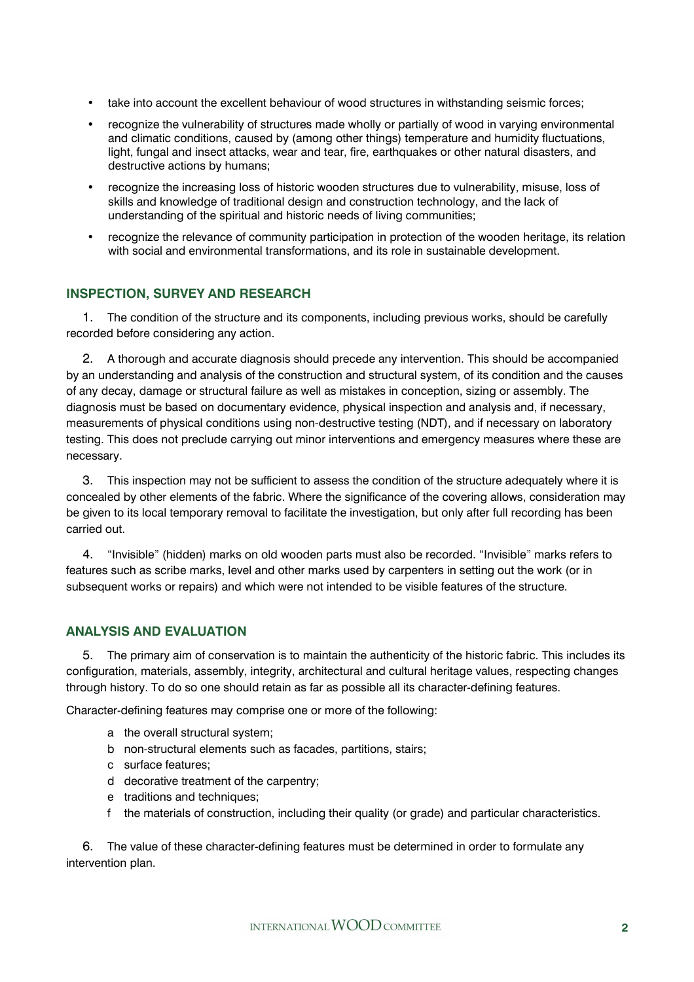- take into account the excellent behaviour of wood structures in withstanding seismic forces;
- recognize the vulnerability of structures made wholly or partially of wood in varying environmental and climatic conditions, caused by (among other things) temperature and humidity fluctuations, light, fungal and insect attacks, wear and tear, fire, earthquakes or other natural disasters, and destructive actions by humans;
- recognize the increasing loss of historic wooden structures due to vulnerability, misuse, loss of skills and knowledge of traditional design and construction technology, and the lack of understanding of the spiritual and historic needs of living communities;
- recognize the relevance of community participation in protection of the wooden heritage, its relation with social and environmental transformations, and its role in sustainable development.

## **INSPECTION, SURVEY AND RESEARCH**

1. The condition of the structure and its components, including previous works, should be carefully recorded before considering any action.

2. A thorough and accurate diagnosis should precede any intervention. This should be accompanied by an understanding and analysis of the construction and structural system, of its condition and the causes of any decay, damage or structural failure as well as mistakes in conception, sizing or assembly. The diagnosis must be based on documentary evidence, physical inspection and analysis and, if necessary, measurements of physical conditions using non-destructive testing (NDT), and if necessary on laboratory testing. This does not preclude carrying out minor interventions and emergency measures where these are necessary.

3. This inspection may not be sufficient to assess the condition of the structure adequately where it is concealed by other elements of the fabric. Where the significance of the covering allows, consideration may be given to its local temporary removal to facilitate the investigation, but only after full recording has been carried out.

4. "Invisible" (hidden) marks on old wooden parts must also be recorded. "Invisible" marks refers to features such as scribe marks, level and other marks used by carpenters in setting out the work (or in subsequent works or repairs) and which were not intended to be visible features of the structure.

## **ANALYSIS AND EVALUATION**

5. The primary aim of conservation is to maintain the authenticity of the historic fabric. This includes its configuration, materials, assembly, integrity, architectural and cultural heritage values, respecting changes through history. To do so one should retain as far as possible all its character-defining features.

Character-defining features may comprise one or more of the following:

- a the overall structural system;
- b non-structural elements such as facades, partitions, stairs;
- c surface features;
- d decorative treatment of the carpentry;
- e traditions and techniques;
- f the materials of construction, including their quality (or grade) and particular characteristics.

6. The value of these character-defining features must be determined in order to formulate any intervention plan.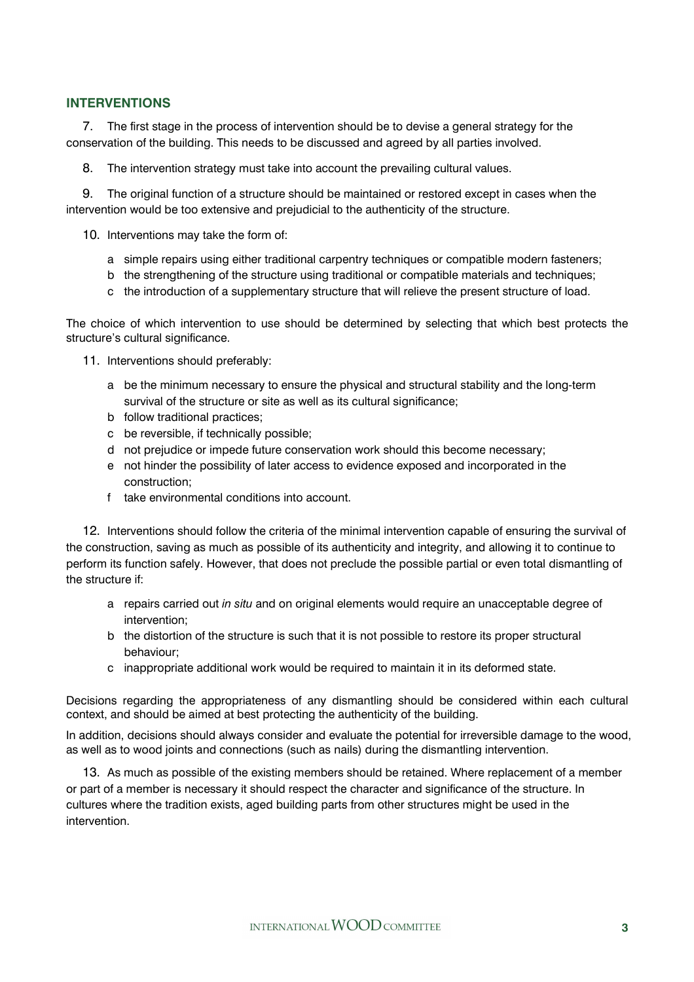## **INTERVENTIONS**

7. The first stage in the process of intervention should be to devise a general strategy for the conservation of the building. This needs to be discussed and agreed by all parties involved.

8. The intervention strategy must take into account the prevailing cultural values.

9. The original function of a structure should be maintained or restored except in cases when the intervention would be too extensive and prejudicial to the authenticity of the structure.

- 10. Interventions may take the form of:
	- a simple repairs using either traditional carpentry techniques or compatible modern fasteners;
	- b the strengthening of the structure using traditional or compatible materials and techniques;
	- c the introduction of a supplementary structure that will relieve the present structure of load.

The choice of which intervention to use should be determined by selecting that which best protects the structure's cultural significance.

- 11. Interventions should preferably:
	- a be the minimum necessary to ensure the physical and structural stability and the long-term survival of the structure or site as well as its cultural significance;
	- b follow traditional practices;
	- c be reversible, if technically possible;
	- d not prejudice or impede future conservation work should this become necessary;
	- e not hinder the possibility of later access to evidence exposed and incorporated in the construction;
	- f take environmental conditions into account

12. Interventions should follow the criteria of the minimal intervention capable of ensuring the survival of the construction, saving as much as possible of its authenticity and integrity, and allowing it to continue to perform its function safely. However, that does not preclude the possible partial or even total dismantling of the structure if:

- a repairs carried out *in situ* and on original elements would require an unacceptable degree of intervention;
- b the distortion of the structure is such that it is not possible to restore its proper structural behaviour;
- c inappropriate additional work would be required to maintain it in its deformed state.

Decisions regarding the appropriateness of any dismantling should be considered within each cultural context, and should be aimed at best protecting the authenticity of the building.

In addition, decisions should always consider and evaluate the potential for irreversible damage to the wood, as well as to wood joints and connections (such as nails) during the dismantling intervention.

13. As much as possible of the existing members should be retained. Where replacement of a member or part of a member is necessary it should respect the character and significance of the structure. In cultures where the tradition exists, aged building parts from other structures might be used in the intervention.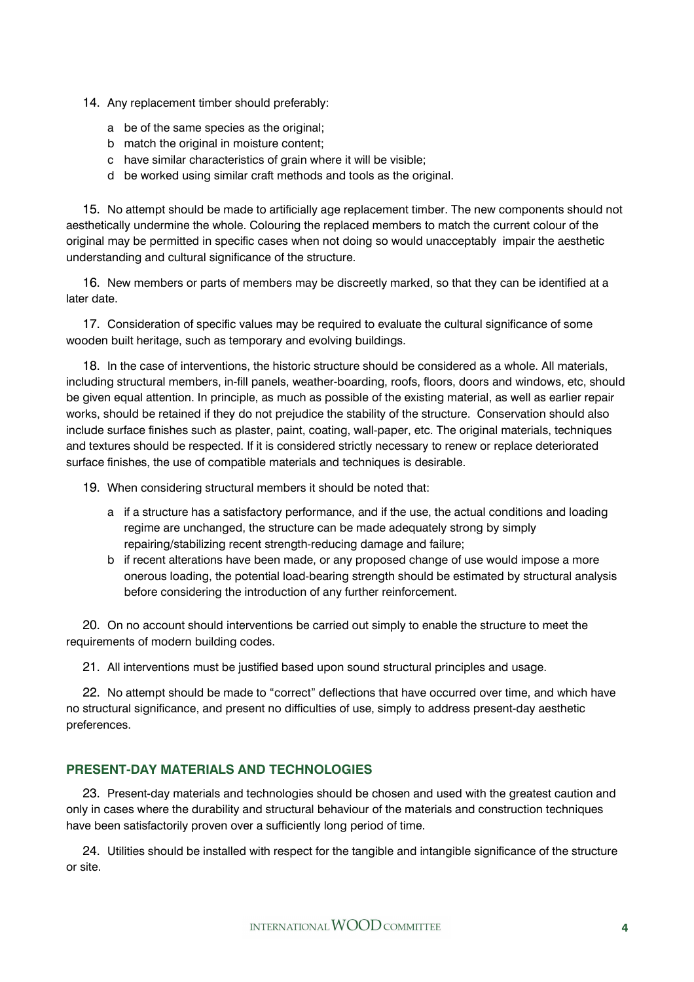- 14. Any replacement timber should preferably:
	- a be of the same species as the original;
	- b match the original in moisture content;
	- c have similar characteristics of grain where it will be visible;
	- d be worked using similar craft methods and tools as the original.

15. No attempt should be made to artificially age replacement timber. The new components should not aesthetically undermine the whole. Colouring the replaced members to match the current colour of the original may be permitted in specific cases when not doing so would unacceptably impair the aesthetic understanding and cultural significance of the structure.

16. New members or parts of members may be discreetly marked, so that they can be identified at a later date.

17. Consideration of specific values may be required to evaluate the cultural significance of some wooden built heritage, such as temporary and evolving buildings.

18. In the case of interventions, the historic structure should be considered as a whole. All materials, including structural members, in-fill panels, weather-boarding, roofs, floors, doors and windows, etc, should be given equal attention. In principle, as much as possible of the existing material, as well as earlier repair works, should be retained if they do not prejudice the stability of the structure. Conservation should also include surface finishes such as plaster, paint, coating, wall-paper, etc. The original materials, techniques and textures should be respected. If it is considered strictly necessary to renew or replace deteriorated surface finishes, the use of compatible materials and techniques is desirable.

19. When considering structural members it should be noted that:

- a if a structure has a satisfactory performance, and if the use, the actual conditions and loading regime are unchanged, the structure can be made adequately strong by simply repairing/stabilizing recent strength-reducing damage and failure;
- b if recent alterations have been made, or any proposed change of use would impose a more onerous loading, the potential load-bearing strength should be estimated by structural analysis before considering the introduction of any further reinforcement.

20. On no account should interventions be carried out simply to enable the structure to meet the requirements of modern building codes.

21. All interventions must be justified based upon sound structural principles and usage.

22. No attempt should be made to "correct" deflections that have occurred over time, and which have no structural significance, and present no difficulties of use, simply to address present-day aesthetic preferences.

## **PRESENT-DAY MATERIALS AND TECHNOLOGIES**

23. Present-day materials and technologies should be chosen and used with the greatest caution and only in cases where the durability and structural behaviour of the materials and construction techniques have been satisfactorily proven over a sufficiently long period of time.

24. Utilities should be installed with respect for the tangible and intangible significance of the structure or site.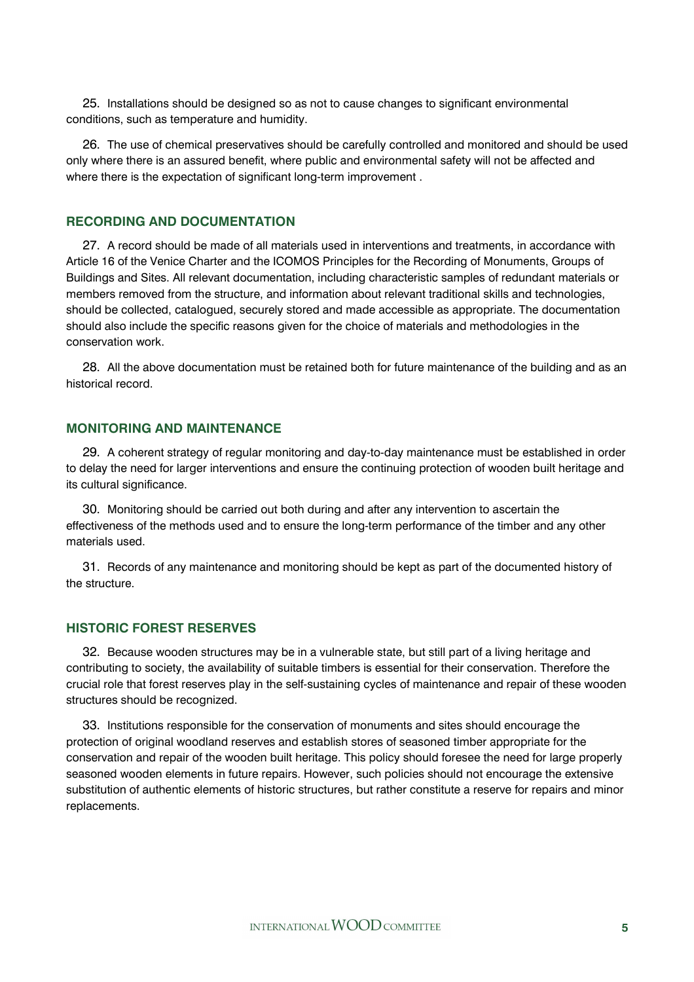25. Installations should be designed so as not to cause changes to significant environmental conditions, such as temperature and humidity.

26. The use of chemical preservatives should be carefully controlled and monitored and should be used only where there is an assured benefit, where public and environmental safety will not be affected and where there is the expectation of significant long-term improvement .

#### **RECORDING AND DOCUMENTATION**

27. A record should be made of all materials used in interventions and treatments, in accordance with Article 16 of the Venice Charter and the ICOMOS Principles for the Recording of Monuments, Groups of Buildings and Sites. All relevant documentation, including characteristic samples of redundant materials or members removed from the structure, and information about relevant traditional skills and technologies, should be collected, catalogued, securely stored and made accessible as appropriate. The documentation should also include the specific reasons given for the choice of materials and methodologies in the conservation work.

28. All the above documentation must be retained both for future maintenance of the building and as an historical record.

## **MONITORING AND MAINTENANCE**

29. A coherent strategy of regular monitoring and day-to-day maintenance must be established in order to delay the need for larger interventions and ensure the continuing protection of wooden built heritage and its cultural significance.

30. Monitoring should be carried out both during and after any intervention to ascertain the effectiveness of the methods used and to ensure the long-term performance of the timber and any other materials used.

31. Records of any maintenance and monitoring should be kept as part of the documented history of the structure.

#### **HISTORIC FOREST RESERVES**

32. Because wooden structures may be in a vulnerable state, but still part of a living heritage and contributing to society, the availability of suitable timbers is essential for their conservation. Therefore the crucial role that forest reserves play in the self-sustaining cycles of maintenance and repair of these wooden structures should be recognized.

33. Institutions responsible for the conservation of monuments and sites should encourage the protection of original woodland reserves and establish stores of seasoned timber appropriate for the conservation and repair of the wooden built heritage. This policy should foresee the need for large properly seasoned wooden elements in future repairs. However, such policies should not encourage the extensive substitution of authentic elements of historic structures, but rather constitute a reserve for repairs and minor replacements.